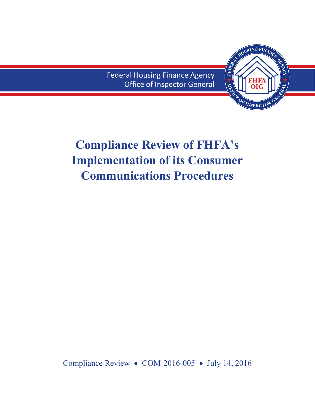Federal Housing Finance Agency Office of Inspector General



# **Compliance Review of FHFA's Implementation of its Consumer Communications Procedures**

Compliance Review • COM-2016-005 • July 14, 2016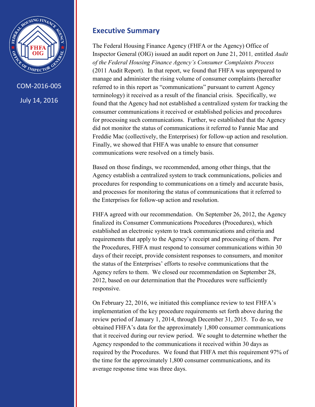<span id="page-1-0"></span>

### **Executive Summary**

The Federal Housing Finance Agency (FHFA or the Agency) Office of Inspector General (OIG) issued an audit report on June 21, 2011*,* entitled *Audit of the Federal Housing Finance Agency's Consumer Complaints Process* (2011 Audit Report). In that report, we found that FHFA was unprepared to manage and administer the rising volume of consumer complaints (hereafter referred to in this report as "communications" pursuant to current Agency terminology) it received as a result of the financial crisis. Specifically, we found that the Agency had not established a centralized system for tracking the consumer communications it received or established policies and procedures for processing such communications. Further, we established that the Agency did not monitor the status of communications it referred to Fannie Mae and Freddie Mac (collectively, the Enterprises) for follow-up action and resolution. Finally, we showed that FHFA was unable to ensure that consumer communications were resolved on a timely basis.

Based on those findings, we recommended, among other things, that the Agency establish a centralized system to track communications, policies and procedures for responding to communications on a timely and accurate basis, and processes for monitoring the status of communications that it referred to the Enterprises for follow-up action and resolution.

FHFA agreed with our recommendation. On September 26, 2012, the Agency finalized its Consumer Communications Procedures (Procedures), which established an electronic system to track communications and criteria and requirements that apply to the Agency's receipt and processing of them. Per the Procedures, FHFA must respond to consumer communications within 30 days of their receipt, provide consistent responses to consumers, and monitor the status of the Enterprises' efforts to resolve communications that the Agency refers to them. We closed our recommendation on September 28, 2012, based on our determination that the Procedures were sufficiently responsive.

On February 22, 2016, we initiated this compliance review to test FHFA's implementation of the key procedure requirements set forth above during the review period of January 1, 2014, through December 31, 2015. To do so, we obtained FHFA's data for the approximately 1,800 consumer communications that it received during our review period. We sought to determine whether the Agency responded to the communications it received within 30 days as required by the Procedures. We found that FHFA met this requirement 97% of the time for the approximately 1,800 consumer communications, and its average response time was three days.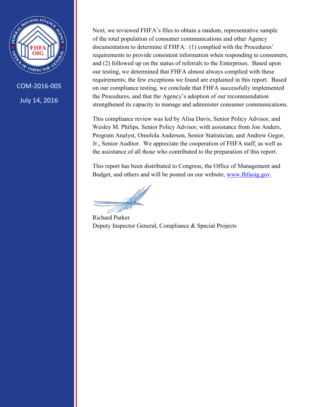

COM-2016-005 July 14, 2016

Next, we reviewed FHFA's files to obtain a random, representative sample of the total population of consumer communications and other Agency documentation to determine if FHFA: (1) complied with the Procedures' requirements to provide consistent information when responding to consumers, and (2) followed up on the status of referrals to the Enterprises. Based upon our testing, we determined that FHFA almost always complied with these requirements; the few exceptions we found are explained in this report. Based on our compliance testing, we conclude that FHFA successfully implemented the Procedures, and that the Agency's adoption of our recommendation strengthened its capacity to manage and administer consumer communications.

This compliance review was led by Alisa Davis, Senior Policy Advisor, and Wesley M. Philips, Senior Policy Advisor, with assistance from Jon Anders, Program Analyst, Omolola Anderson, Senior Statistician, and Andrew Gegor, Jr., Senior Auditor. We appreciate the cooperation of FHFA staff, as well as the assistance of all those who contributed to the preparation of this report.

This report has been distributed to Congress, the Office of Management and Budget, and others and will be posted on our website, [www.fhfaoig.gov.](http://www.fhfaoig.gov/)

Richard Parker Deputy Inspector General, Compliance & Special Projects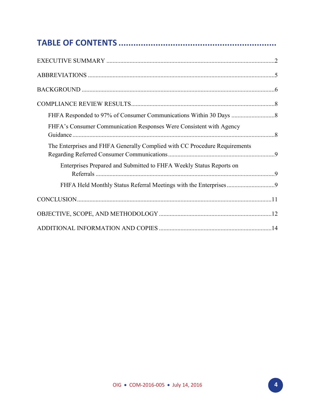| FHFA's Consumer Communication Responses Were Consistent with Agency        |  |
|----------------------------------------------------------------------------|--|
| The Enterprises and FHFA Generally Complied with CC Procedure Requirements |  |
| Enterprises Prepared and Submitted to FHFA Weekly Status Reports on        |  |
|                                                                            |  |
|                                                                            |  |
|                                                                            |  |
|                                                                            |  |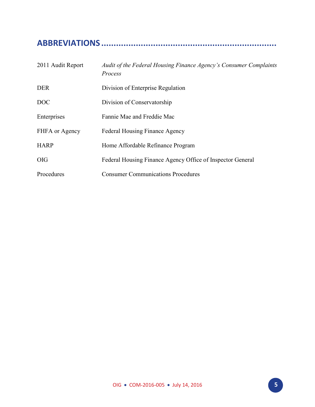# <span id="page-4-0"></span>**ABBREVIATIONS .......................................................................**

| 2011 Audit Report | Audit of the Federal Housing Finance Agency's Consumer Complaints<br>Process |
|-------------------|------------------------------------------------------------------------------|
| <b>DER</b>        | Division of Enterprise Regulation                                            |
| DOC               | Division of Conservatorship                                                  |
| Enterprises       | Fannie Mae and Freddie Mac                                                   |
| FHFA or Agency    | <b>Federal Housing Finance Agency</b>                                        |
| <b>HARP</b>       | Home Affordable Refinance Program                                            |
| <b>OIG</b>        | Federal Housing Finance Agency Office of Inspector General                   |
| Procedures        | <b>Consumer Communications Procedures</b>                                    |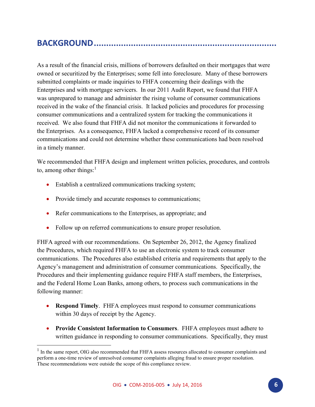# <span id="page-5-0"></span>**BACKGROUND ..........................................................................**

As a result of the financial crisis, millions of borrowers defaulted on their mortgages that were owned or securitized by the Enterprises; some fell into foreclosure. Many of these borrowers submitted complaints or made inquiries to FHFA concerning their dealings with the Enterprises and with mortgage servicers. In our 2011 Audit Report, we found that FHFA was unprepared to manage and administer the rising volume of consumer communications received in the wake of the financial crisis. It lacked policies and procedures for processing consumer communications and a centralized system for tracking the communications it received. We also found that FHFA did not monitor the communications it forwarded to the Enterprises. As a consequence, FHFA lacked a comprehensive record of its consumer communications and could not determine whether these communications had been resolved in a timely manner.

We recommended that FHFA design and implement written policies, procedures, and controls to, among other things: $<sup>1</sup>$ </sup>

- Establish a centralized communications tracking system;
- Provide timely and accurate responses to communications;

 $\overline{a}$ 

- Refer communications to the Enterprises, as appropriate; and
- Follow up on referred communications to ensure proper resolution.

FHFA agreed with our recommendations. On September 26, 2012, the Agency finalized the Procedures, which required FHFA to use an electronic system to track consumer communications. The Procedures also established criteria and requirements that apply to the Agency's management and administration of consumer communications. Specifically, the Procedures and their implementing guidance require FHFA staff members, the Enterprises, and the Federal Home Loan Banks, among others, to process such communications in the following manner:

- **Respond Timely**. FHFA employees must respond to consumer communications within 30 days of receipt by the Agency.
- **Provide Consistent Information to Consumers**. FHFA employees must adhere to written guidance in responding to consumer communications. Specifically, they must

<sup>&</sup>lt;sup>1</sup> In the same report, OIG also recommended that FHFA assess resources allocated to consumer complaints and perform a one-time review of unresolved consumer complaints alleging fraud to ensure proper resolution. These recommendations were outside the scope of this compliance review.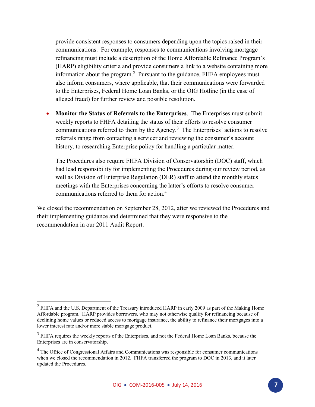provide consistent responses to consumers depending upon the topics raised in their communications. For example, responses to communications involving mortgage refinancing must include a description of the Home Affordable Refinance Program's (HARP) eligibility criteria and provide consumers a link to a website containing more information about the program.<sup>2</sup> Pursuant to the guidance, FHFA employees must also inform consumers, where applicable, that their communications were forwarded to the Enterprises, Federal Home Loan Banks, or the OIG Hotline (in the case of alleged fraud) for further review and possible resolution.

 **Monitor the Status of Referrals to the Enterprises**. The Enterprises must submit weekly reports to FHFA detailing the status of their efforts to resolve consumer communications referred to them by the Agency.<sup>3</sup> The Enterprises' actions to resolve referrals range from contacting a servicer and reviewing the consumer's account history, to researching Enterprise policy for handling a particular matter.

The Procedures also require FHFA Division of Conservatorship (DOC) staff, which had lead responsibility for implementing the Procedures during our review period, as well as Division of Enterprise Regulation (DER) staff to attend the monthly status meetings with the Enterprises concerning the latter's efforts to resolve consumer communications referred to them for action.<sup>4</sup>

We closed the recommendation on September 28, 2012, after we reviewed the Procedures and their implementing guidance and determined that they were responsive to the recommendation in our 2011 Audit Report.

 $\overline{\phantom{a}}$ 

 $2$  FHFA and the U.S. Department of the Treasury introduced HARP in early 2009 as part of the Making Home Affordable program. HARP provides borrowers, who may not otherwise qualify for refinancing because of declining home values or reduced access to mortgage insurance, the ability to refinance their mortgages into a lower interest rate and/or more stable mortgage product.

<sup>&</sup>lt;sup>3</sup> FHFA requires the weekly reports of the Enterprises, and not the Federal Home Loan Banks, because the Enterprises are in conservatorship.

<sup>&</sup>lt;sup>4</sup> The Office of Congressional Affairs and Communications was responsible for consumer communications when we closed the recommendation in 2012. FHFA transferred the program to DOC in 2013, and it later updated the Procedures.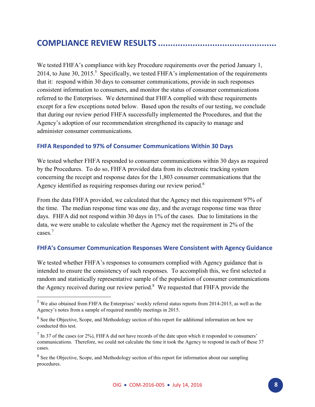### <span id="page-7-0"></span>**COMPLIANCE REVIEW RESULTS ................................................**

 $\overline{\phantom{a}}$ 

We tested FHFA's compliance with key Procedure requirements over the period January 1, 2014, to June 30, 2015.<sup>5</sup> Specifically, we tested FHFA's implementation of the requirements that it: respond within 30 days to consumer communications, provide in such responses consistent information to consumers, and monitor the status of consumer communications referred to the Enterprises. We determined that FHFA complied with these requirements except for a few exceptions noted below. Based upon the results of our testing, we conclude that during our review period FHFA successfully implemented the Procedures, and that the Agency's adoption of our recommendation strengthened its capacity to manage and administer consumer communications.

#### <span id="page-7-1"></span>**FHFA Responded to 97% of Consumer Communications Within 30 Days**

We tested whether FHFA responded to consumer communications within 30 days as required by the Procedures. To do so, FHFA provided data from its electronic tracking system concerning the receipt and response dates for the 1,803 consumer communications that the Agency identified as requiring responses during our review period.<sup>6</sup>

From the data FHFA provided, we calculated that the Agency met this requirement 97% of the time. The median response time was one day, and the average response time was three days. FHFA did not respond within 30 days in 1% of the cases. Due to limitations in the data, we were unable to calculate whether the Agency met the requirement in 2% of the cases.<sup>7</sup>

#### <span id="page-7-2"></span>**FHFA's Consumer Communication Responses Were Consistent with Agency Guidance**

We tested whether FHFA's responses to consumers complied with Agency guidance that is intended to ensure the consistency of such responses. To accomplish this, we first selected a random and statistically representative sample of the population of consumer communications the Agency received during our review period. $8$  We requested that FHFA provide the

<sup>&</sup>lt;sup>5</sup> We also obtained from FHFA the Enterprises' weekly referral status reports from 2014-2015, as well as the Agency's notes from a sample of required monthly meetings in 2015.

<sup>&</sup>lt;sup>6</sup> See the Objective, Scope, and Methodology section of this report for additional information on how we conducted this test.

 $<sup>7</sup>$  In 37 of the cases (or 2%), FHFA did not have records of the date upon which it responded to consumers'</sup> communications. Therefore, we could not calculate the time it took the Agency to respond in each of these 37 cases.

 $8$  See the Objective, Scope, and Methodology section of this report for information about our sampling procedures.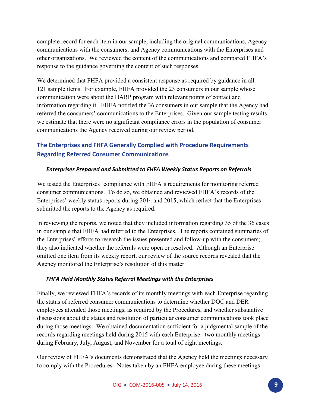complete record for each item in our sample, including the original communications, Agency communications with the consumers, and Agency communications with the Enterprises and other organizations. We reviewed the content of the communications and compared FHFA's response to the guidance governing the content of such responses.

We determined that FHFA provided a consistent response as required by guidance in all 121 sample items. For example, FHFA provided the 23 consumers in our sample whose communication were about the HARP program with relevant points of contact and information regarding it. FHFA notified the 36 consumers in our sample that the Agency had referred the consumers' communications to the Enterprises. Given our sample testing results, we estimate that there were no significant compliance errors in the population of consumer communications the Agency received during our review period.

#### <span id="page-8-0"></span>**The Enterprises and FHFA Generally Complied with Procedure Requirements Regarding Referred Consumer Communications**

#### <span id="page-8-1"></span>*Enterprises Prepared and Submitted to FHFA Weekly Status Reports on Referrals*

We tested the Enterprises' compliance with FHFA's requirements for monitoring referred consumer communications. To do so, we obtained and reviewed FHFA's records of the Enterprises' weekly status reports during 2014 and 2015, which reflect that the Enterprises submitted the reports to the Agency as required.

In reviewing the reports, we noted that they included information regarding 35 of the 36 cases in our sample that FHFA had referred to the Enterprises. The reports contained summaries of the Enterprises' efforts to research the issues presented and follow-up with the consumers; they also indicated whether the referrals were open or resolved. Although an Enterprise omitted one item from its weekly report, our review of the source records revealed that the Agency monitored the Enterprise's resolution of this matter.

#### <span id="page-8-2"></span>*FHFA Held Monthly Status Referral Meetings with the Enterprises*

Finally, we reviewed FHFA's records of its monthly meetings with each Enterprise regarding the status of referred consumer communications to determine whether DOC and DER employees attended those meetings, as required by the Procedures, and whether substantive discussions about the status and resolution of particular consumer communications took place during those meetings. We obtained documentation sufficient for a judgmental sample of the records regarding meetings held during 2015 with each Enterprise: two monthly meetings during February, July, August, and November for a total of eight meetings.

Our review of FHFA's documents demonstrated that the Agency held the meetings necessary to comply with the Procedures. Notes taken by an FHFA employee during these meetings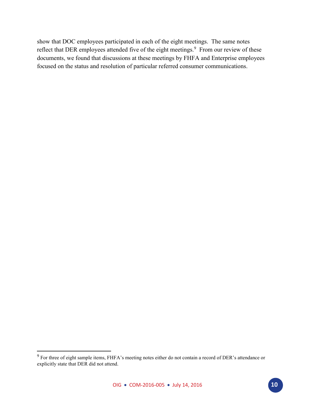show that DOC employees participated in each of the eight meetings. The same notes reflect that DER employees attended five of the eight meetings.<sup>9</sup> From our review of these documents, we found that discussions at these meetings by FHFA and Enterprise employees focused on the status and resolution of particular referred consumer communications.

 $\overline{\phantom{a}}$ 

 $9^9$  For three of eight sample items, FHFA's meeting notes either do not contain a record of DER's attendance or explicitly state that DER did not attend.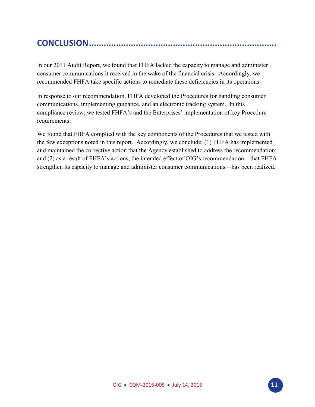# <span id="page-10-0"></span>**CONCLUSION ............................................................................**

In our 2011 Audit Report, we found that FHFA lacked the capacity to manage and administer consumer communications it received in the wake of the financial crisis. Accordingly, we recommended FHFA take specific actions to remediate these deficiencies in its operations.

In response to our recommendation, FHFA developed the Procedures for handling consumer communications, implementing guidance, and an electronic tracking system. In this compliance review, we tested FHFA's and the Enterprises' implementation of key Procedure requirements.

We found that FHFA complied with the key components of the Procedures that we tested with the few exceptions noted in this report. Accordingly, we conclude: (1) FHFA has implemented and maintained the corrective action that the Agency established to address the recommendation; and (2) as a result of FHFA's actions, the intended effect of OIG's recommendation—that FHFA strengthen its capacity to manage and administer consumer communications—has been realized.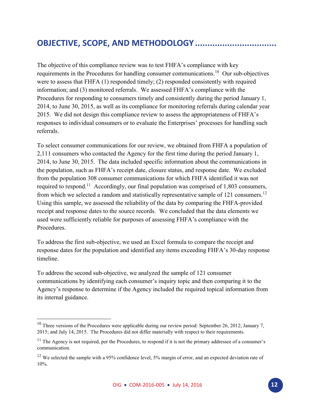# <span id="page-11-0"></span>**OBJECTIVE, SCOPE, AND METHODOLOGY .................................**

The objective of this compliance review was to test FHFA's compliance with key requirements in the Procedures for handling consumer communications.<sup>10</sup> Our sub-objectives were to assess that FHFA (1) responded timely; (2) responded consistently with required information; and (3) monitored referrals. We assessed FHFA's compliance with the Procedures for responding to consumers timely and consistently during the period January 1, 2014, to June 30, 2015, as well as its compliance for monitoring referrals during calendar year 2015. We did not design this compliance review to assess the appropriateness of FHFA's responses to individual consumers or to evaluate the Enterprises' processes for handling such referrals.

To select consumer communications for our review, we obtained from FHFA a population of 2,111 consumers who contacted the Agency for the first time during the period January 1, 2014, to June 30, 2015. The data included specific information about the communications in the population, such as FHFA's receipt date, closure status, and response date. We excluded from the population 308 consumer communications for which FHFA identified it was not required to respond.<sup>11</sup> Accordingly, our final population was comprised of 1,803 consumers, from which we selected a random and statistically representative sample of 121 consumers.<sup>12</sup> Using this sample, we assessed the reliability of the data by comparing the FHFA-provided receipt and response dates to the source records. We concluded that the data elements we used were sufficiently reliable for purposes of assessing FHFA's compliance with the **Procedures** 

To address the first sub-objective, we used an Excel formula to compare the receipt and response dates for the population and identified any items exceeding FHFA's 30-day response timeline.

To address the second sub-objective, we analyzed the sample of 121 consumer communications by identifying each consumer's inquiry topic and then comparing it to the Agency's response to determine if the Agency included the required topical information from its internal guidance.

 $\overline{a}$ 

<sup>&</sup>lt;sup>10</sup> Three versions of the Procedures were applicable during our review period: September 26, 2012; January 7, 2015; and July 14, 2015. The Procedures did not differ materially with respect to their requirements.

 $11$  The Agency is not required, per the Procedures, to respond if it is not the primary addressee of a consumer's communication.

<sup>&</sup>lt;sup>12</sup> We selected the sample with a 95% confidence level, 5% margin of error, and an expected deviation rate of 10%.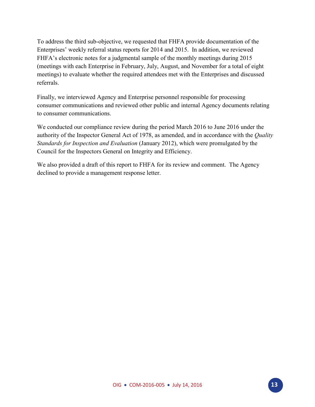To address the third sub-objective, we requested that FHFA provide documentation of the Enterprises' weekly referral status reports for 2014 and 2015. In addition, we reviewed FHFA's electronic notes for a judgmental sample of the monthly meetings during 2015 (meetings with each Enterprise in February, July, August, and November for a total of eight meetings) to evaluate whether the required attendees met with the Enterprises and discussed referrals.

Finally, we interviewed Agency and Enterprise personnel responsible for processing consumer communications and reviewed other public and internal Agency documents relating to consumer communications.

We conducted our compliance review during the period March 2016 to June 2016 under the authority of the Inspector General Act of 1978, as amended, and in accordance with the *Quality Standards for Inspection and Evaluation* (January 2012), which were promulgated by the Council for the Inspectors General on Integrity and Efficiency.

We also provided a draft of this report to FHFA for its review and comment. The Agency declined to provide a management response letter.